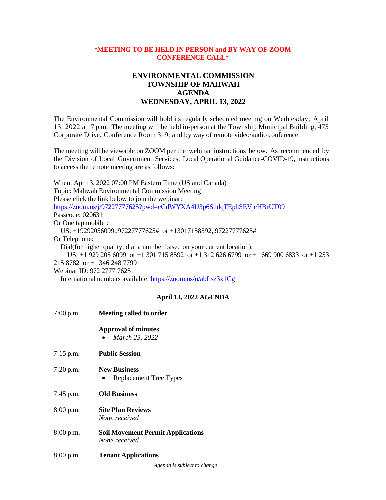## **\*MEETING TO BE HELD IN PERSON and BY WAY OF ZOOM CONFERENCE CALL\***

# **ENVIRONMENTAL COMMISSION TOWNSHIP OF MAHWAH AGENDA WEDNESDAY, APRIL 13, 2022**

The Environmental Commission will hold its regularly scheduled meeting on Wednesday, April 13, 2022 at 7 p.m. The meeting will be held in-person at the Township Municipal Building, 475 Corporate Drive, Conference Room 319; and by way of remote video/audio conference.

The meeting will be viewable on ZOOM per the webinar instructions below. As recommended by the Division of Local Government Services, Local Operational Guidance-COVID-19, instructions to access the remote meeting are as follows:

When: Apr 13, 2022 07:00 PM Eastern Time (US and Canada) Topic: Mahwah Environmental Commission Meeting Please click the link below to join the webinar: <https://zoom.us/j/97227777625?pwd=cGdWYXA4U3p6S1dqTEphSEVjcHBrUT09> Passcode: 020631 Or One tap mobile : US: +19292056099,,97227777625# or +13017158592,,97227777625# Or Telephone: Dial(for higher quality, dial a number based on your current location): US: +1 929 205 6099 or +1 301 715 8592 or +1 312 626 6799 or +1 669 900 6833 or +1 253 215 8782 or +1 346 248 7799 Webinar ID: 972 2777 7625 International numbers available:<https://zoom.us/u/abLsz3x1Cg>

## **April 13, 2022 AGENDA**

| 7:00 p.m.   | <b>Meeting called to order</b>                            |
|-------------|-----------------------------------------------------------|
|             | <b>Approval of minutes</b><br>March 23, 2022              |
| $7:15$ p.m. | <b>Public Session</b>                                     |
| 7:20 p.m.   | <b>New Business</b><br><b>Replacement Tree Types</b>      |
| $7:45$ p.m. | <b>Old Business</b>                                       |
| 8:00 p.m.   | <b>Site Plan Reviews</b><br>None received                 |
| 8:00 p.m.   | <b>Soil Movement Permit Applications</b><br>None received |
| $8:00$ p.m. | <b>Tenant Applications</b>                                |

*Agenda is subject to change*